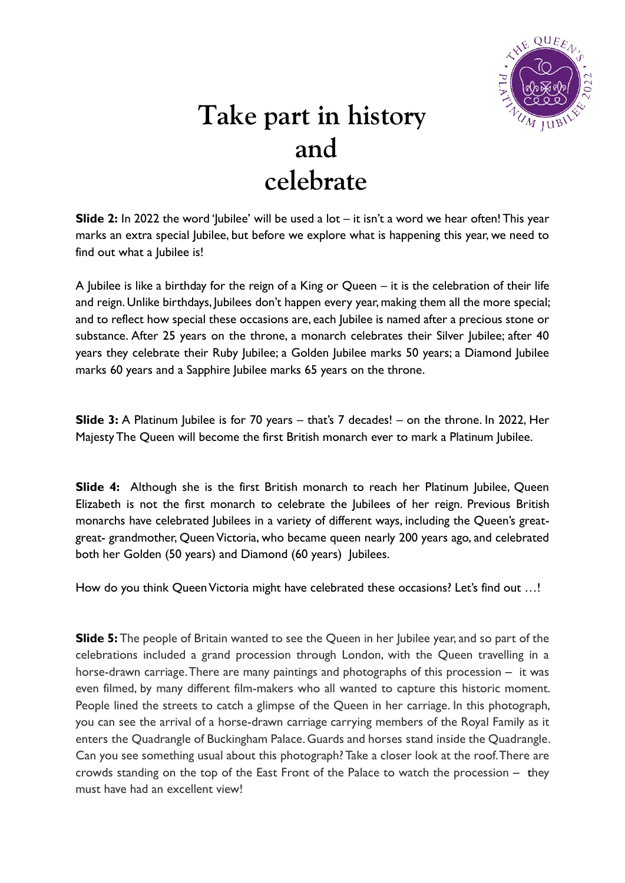

## **Take part in history and celebrate**

**Slide 2:** In 2022 the word 'Jubilee' will be used a lot – it isn't a word we hear often! This year marks an extra special Jubilee, but before we explore what is happening this year, we need to find out what a Jubilee is!

A Jubilee is like a birthday for the reign of a King or Queen – it is the celebration of their life and reign. Unlike birthdays, Jubilees don't happen every year, making them all the more special; and to reflect how special these occasions are, each Jubilee is named after a precious stone or substance. After 25 years on the throne, a monarch celebrates their Silver Jubilee; after 40 years they celebrate their Ruby Jubilee; a Golden Jubilee marks 50 years; a Diamond Jubilee marks 60 years and a Sapphire Jubilee marks 65 years on the throne.

**Slide 3:** A Platinum Jubilee is for 70 years – that's 7 decades! – on the throne. In 2022, Her Majesty The Queen will become the first British monarch ever to mark a Platinum Jubilee.

**Slide 4:** Although she is the first British monarch to reach her Platinum Jubilee, Queen Elizabeth is not the first monarch to celebrate the Jubilees of her reign. Previous British monarchs have celebrated Jubilees in a variety of different ways, including the Queen's greatgreat- grandmother, Queen Victoria, who became queen nearly 200 years ago, and celebrated both her Golden (50 years) and Diamond (60 years) Jubilees.

How do you think Queen Victoria might have celebrated these occasions? Let's find out ...!

**Slide 5:** The people of Britain wanted to see the Queen in her Jubilee year, and so part of the celebrations included a grand procession through London, with the Queen travelling in a horse-drawn carriage. There are many paintings and photographs of this procession – it was even filmed, by many different film-makers who all wanted to capture this historic moment. People lined the streets to catch a glimpse of the Queen in her carriage. In this photograph, you can see the arrival of a horse-drawn carriage carrying members of the Royal Family as it enters the Quadrangle of Buckingham Palace. Guards and horses stand inside the Quadrangle. Can you see something usual about this photograph? Take a closer look at the roof. There are crowds standing on the top of the East Front of the Palace to watch the procession – they must have had an excellent view!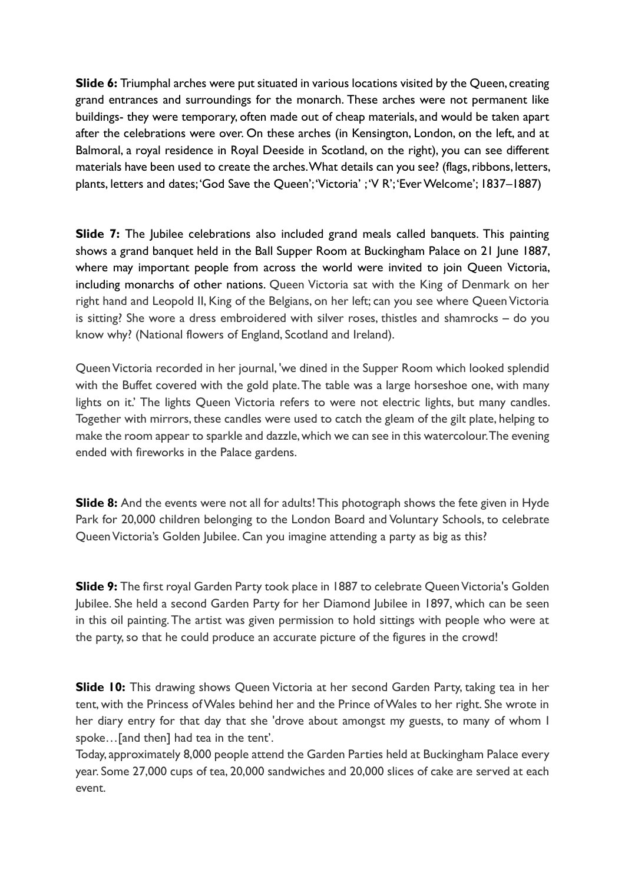**Slide 6:** Triumphal arches were put situated in various locations visited by the Queen, creating grand entrances and surroundings for the monarch. These arches were not permanent like buildings- they were temporary, often made out of cheap materials, and would be taken apart after the celebrations were over. On these arches (in Kensington, London, on the left, and at Balmoral, a royal residence in Royal Deeside in Scotland, on the right), you can see different materials have been used to create the arches. What details can you see? (flags, ribbons, letters, plants, letters and dates; 'God Save the Queen'; 'Victoria' ; 'V R'; 'Ever Welcome'; 1837–1887)

**Slide 7:** The Jubilee celebrations also included grand meals called banquets. This painting shows a grand banquet held in the Ball Supper Room at Buckingham Palace on 21 June 1887, where may important people from across the world were invited to join Queen Victoria, including monarchs of other nations. Queen Victoria sat with the King of Denmark on her right hand and Leopold II, King of the Belgians, on her left; can you see where Queen Victoria is sitting? She wore a dress embroidered with silver roses, thistles and shamrocks – do you know why? (National flowers of England, Scotland and Ireland).

Queen Victoria recorded in her journal, 'we dined in the Supper Room which looked splendid with the Buffet covered with the gold plate. The table was a large horseshoe one, with many lights on it.' The lights Queen Victoria refers to were not electric lights, but many candles. Together with mirrors, these candles were used to catch the gleam of the gilt plate, helping to make the room appear to sparkle and dazzle, which we can see in this watercolour. The evening ended with fireworks in the Palace gardens.

**Slide 8:** And the events were not all for adults! This photograph shows the fete given in Hyde Park for 20,000 children belonging to the London Board and Voluntary Schools, to celebrate Queen Victoria's Golden Jubilee. Can you imagine attending a party as big as this?

**Slide 9:** The first royal Garden Party took place in 1887 to celebrate Queen Victoria's Golden Jubilee. She held a second Garden Party for her Diamond Jubilee in 1897, which can be seen in this oil painting. The artist was given permission to hold sittings with people who were at the party, so that he could produce an accurate picture of the figures in the crowd!

**Slide 10:** This drawing shows Queen Victoria at her second Garden Party, taking tea in her tent, with the Princess of Wales behind her and the Prince of Wales to her right. She wrote in her diary entry for that day that she 'drove about amongst my guests, to many of whom I spoke…[and then] had tea in the tent'.

Today, approximately 8,000 people attend the Garden Parties held at Buckingham Palace every year. Some 27,000 cups of tea, 20,000 sandwiches and 20,000 slices of cake are served at each event.